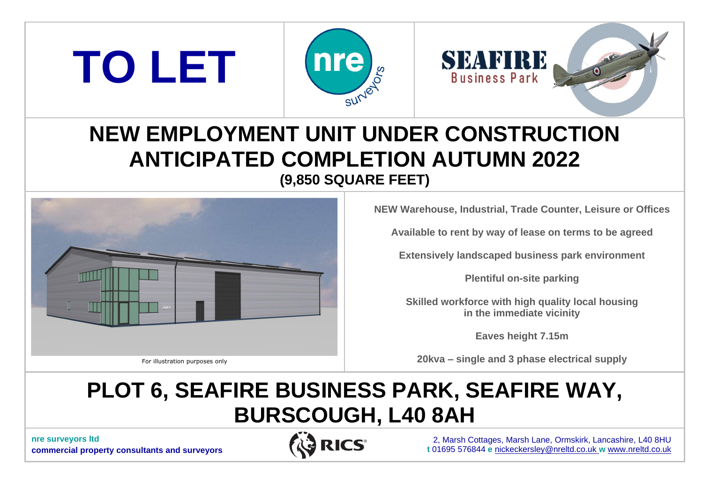



# **NEW EMPLOYMENT UNIT UNDER CONSTRUCTION ANTICIPATED COMPLETION AUTUMN 2022 (9,850 SQUARE FEET)**



**TO LET**

**NEW Warehouse, Industrial, Trade Counter, Leisure or Offices**

**Available to rent by way of lease on terms to be agreed**

**Extensively landscaped business park environment**

**Plentiful on-site parking**

**Skilled workforce with high quality local housing in the immediate vicinity**

**Eaves height 7.15m**

**20kva – single and 3 phase electrical supply**

# **PLOT 6, SEAFIRE BUSINESS PARK, SEAFIRE WAY, BURSCOUGH, L40 8AH**

**nre surveyors ltd commercial property consultants and surveyors**



2, Marsh Cottages, Marsh Lane, Ormskirk, Lancashire, L40 8HU **t** 01695 576844 **e** [nickeckersley@nreltd.co.uk](mailto:nickeckersley@nreltd.co.uk) **w** [www.nreltd.co.uk](http://www.nreltd.co.uk/)